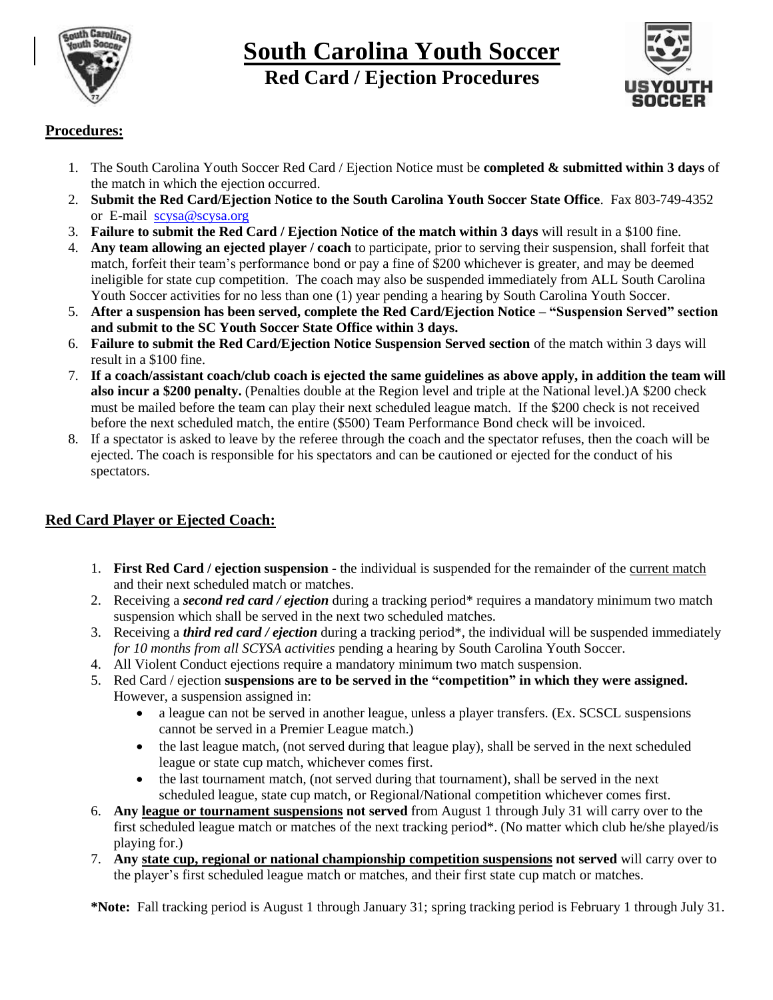

## **South Carolina Youth Soccer Red Card / Ejection Procedures**



## **Procedures:**

- 1. The South Carolina Youth Soccer Red Card / Ejection Notice must be **completed & submitted within 3 days** of the match in which the ejection occurred.
- 2. **Submit the Red Card/Ejection Notice to the South Carolina Youth Soccer State Office**. Fax 803-749-4352 or E-mail [scysa@scysa.org](mailto:scysa@scysa.org)
- 3. **Failure to submit the Red Card / Ejection Notice of the match within 3 days** will result in a \$100 fine.
- 4. **Any team allowing an ejected player / coach** to participate, prior to serving their suspension, shall forfeit that match, forfeit their team's performance bond or pay a fine of \$200 whichever is greater, and may be deemed ineligible for state cup competition. The coach may also be suspended immediately from ALL South Carolina Youth Soccer activities for no less than one (1) year pending a hearing by South Carolina Youth Soccer.
- 5. **After a suspension has been served, complete the Red Card/Ejection Notice – "Suspension Served" section and submit to the SC Youth Soccer State Office within 3 days.**
- 6. **Failure to submit the Red Card/Ejection Notice Suspension Served section** of the match within 3 days will result in a \$100 fine.
- 7. **If a coach/assistant coach/club coach is ejected the same guidelines as above apply, in addition the team will also incur a \$200 penalty.** (Penalties double at the Region level and triple at the National level.)A \$200 check must be mailed before the team can play their next scheduled league match. If the \$200 check is not received before the next scheduled match, the entire (\$500) Team Performance Bond check will be invoiced.
- 8. If a spectator is asked to leave by the referee through the coach and the spectator refuses, then the coach will be ejected. The coach is responsible for his spectators and can be cautioned or ejected for the conduct of his spectators.

## **Red Card Player or Ejected Coach:**

- 1. **First Red Card / ejection suspension -** the individual is suspended for the remainder of the current match and their next scheduled match or matches.
- 2. Receiving a *second red card / ejection* during a tracking period\* requires a mandatory minimum two match suspension which shall be served in the next two scheduled matches.
- 3. Receiving a *third red card / ejection* during a tracking period\*, the individual will be suspended immediately *for 10 months from all SCYSA activities* pending a hearing by South Carolina Youth Soccer.
- 4. All Violent Conduct ejections require a mandatory minimum two match suspension.
- 5. Red Card / ejection **suspensions are to be served in the "competition" in which they were assigned.** However, a suspension assigned in:
	- a league can not be served in another league, unless a player transfers. (Ex. SCSCL suspensions cannot be served in a Premier League match.)
	- the last league match, (not served during that league play), shall be served in the next scheduled league or state cup match, whichever comes first.
	- the last tournament match, (not served during that tournament), shall be served in the next scheduled league, state cup match, or Regional/National competition whichever comes first.
- 6. **Any league or tournament suspensions not served** from August 1 through July 31 will carry over to the first scheduled league match or matches of the next tracking period\*. (No matter which club he/she played/is playing for.)
- 7. **Any state cup, regional or national championship competition suspensions not served** will carry over to the player's first scheduled league match or matches, and their first state cup match or matches.

**\*Note:** Fall tracking period is August 1 through January 31; spring tracking period is February 1 through July 31.